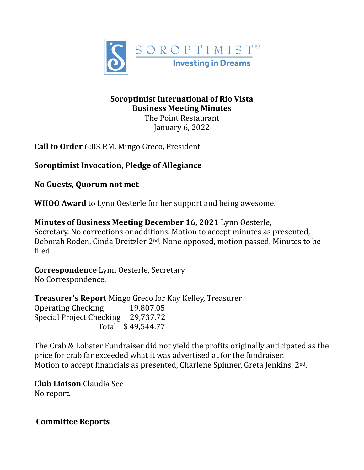

# **Soroptimist International of Rio Vista Business Meeting Minutes**

The Point Restaurant January  $6, 2022$ 

**Call to Order** 6:03 P.M. Mingo Greco, President

**Soroptimist Invocation, Pledge of Allegiance** 

**No Guests, Quorum not met**

**WHOO Award** to Lynn Oesterle for her support and being awesome.

**Minutes of Business Meeting December 16, 2021** Lynn Oesterle, Secretary. No corrections or additions. Motion to accept minutes as presented, Deborah Roden, Cinda Dreitzler 2<sup>nd</sup>. None opposed, motion passed. Minutes to be filed.

**Correspondence** Lynn Oesterle, Secretary No Correspondence.

Treasurer's Report Mingo Greco for Kay Kelley, Treasurer Operating Checking 19,807.05 Special Project Checking 29,737.72 Total \$49,544.77

The Crab & Lobster Fundraiser did not yield the profits originally anticipated as the price for crab far exceeded what it was advertised at for the fundraiser. Motion to accept financials as presented, Charlene Spinner, Greta Jenkins,  $2<sup>nd</sup>$ .

**Club Liaison** Claudia See No report.

 **Committee Reports**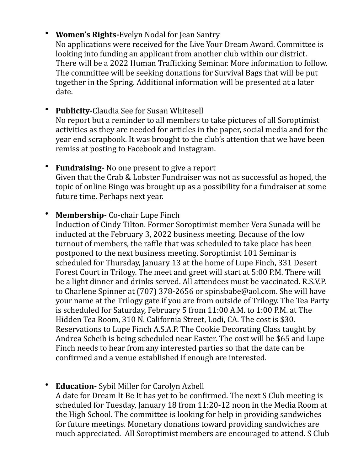# **Women's Rights-Evelyn Nodal for Jean Santry**

No applications were received for the Live Your Dream Award. Committee is looking into funding an applicant from another club within our district. There will be a 2022 Human Trafficking Seminar. More information to follow. The committee will be seeking donations for Survival Bags that will be put together in the Spring. Additional information will be presented at a later date.

- **Publicity-Claudia See for Susan Whitesell** No report but a reminder to all members to take pictures of all Soroptimist activities as they are needed for articles in the paper, social media and for the year end scrapbook. It was brought to the club's attention that we have been remiss at posting to Facebook and Instagram.
- Fundraising- No one present to give a report Given that the Crab & Lobster Fundraiser was not as successful as hoped, the topic of online Bingo was brought up as a possibility for a fundraiser at some future time. Perhaps next year.

#### • Membership - Co-chair Lupe Finch

Induction of Cindy Tilton. Former Soroptimist member Vera Sunada will be inducted at the February 3, 2022 business meeting. Because of the low turnout of members, the raffle that was scheduled to take place has been postponed to the next business meeting. Soroptimist 101 Seminar is scheduled for Thursday, January 13 at the home of Lupe Finch, 331 Desert Forest Court in Trilogy. The meet and greet will start at 5:00 P.M. There will be a light dinner and drinks served. All attendees must be vaccinated. R.S.V.P. to Charlene Spinner at (707) 378-2656 or spinsbabe@aol.com. She will have your name at the Trilogy gate if you are from outside of Trilogy. The Tea Party is scheduled for Saturday, February 5 from 11:00 A.M. to 1:00 P.M. at The Hidden Tea Room, 310 N. California Street, Lodi, CA. The cost is \$30. Reservations to Lupe Finch A.S.A.P. The Cookie Decorating Class taught by Andrea Scheib is being scheduled near Easter. The cost will be \$65 and Lupe Finch needs to hear from any interested parties so that the date can be confirmed and a venue established if enough are interested.

#### **Education-** Sybil Miller for Carolyn Azbell

A date for Dream It Be It has yet to be confirmed. The next S Club meeting is scheduled for Tuesday, January 18 from 11:20-12 noon in the Media Room at the High School. The committee is looking for help in providing sandwiches for future meetings. Monetary donations toward providing sandwiches are much appreciated. All Soroptimist members are encouraged to attend. S Club